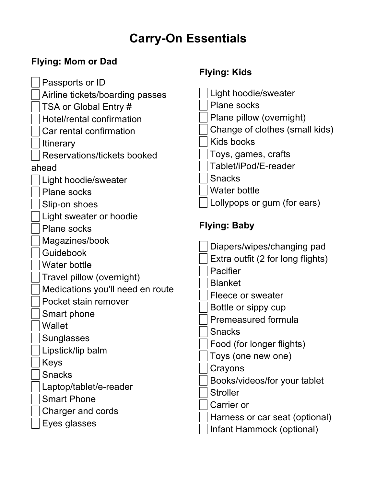## **Carry-On Essentials**

## **Flying: Mom or Dad**

|                                  | <b>Flying: Kids</b>               |
|----------------------------------|-----------------------------------|
| Passports or ID                  |                                   |
| Airline tickets/boarding passes  | Light hoodie/sweater              |
| TSA or Global Entry #            | <b>Plane socks</b>                |
| Hotel/rental confirmation        | Plane pillow (overnight)          |
| Car rental confirmation          | Change of clothes (small kids)    |
| <b>Itinerary</b>                 | Kids books                        |
| Reservations/tickets booked      | Toys, games, crafts               |
| ahead                            | Tablet/iPod/E-reader              |
| Light hoodie/sweater             | <b>Snacks</b>                     |
| <b>Plane socks</b>               | <b>Water bottle</b>               |
| Slip-on shoes                    | Lollypops or gum (for ears)       |
| Light sweater or hoodie          |                                   |
| <b>Plane socks</b>               | <b>Flying: Baby</b>               |
| Magazines/book                   | Diapers/wipes/changing pad        |
| Guidebook                        | Extra outfit (2 for long flights) |
| <b>Water bottle</b>              | Pacifier                          |
| Travel pillow (overnight)        | <b>Blanket</b>                    |
| Medications you'll need en route | Fleece or sweater                 |
| Pocket stain remover             | Bottle or sippy cup               |
| Smart phone                      | Premeasured formula               |
| <b>Wallet</b>                    | <b>Snacks</b>                     |
| Sunglasses                       | Food (for longer flights)         |
| Lipstick/lip balm                | Toys (one new one)                |
| Keys                             | Crayons                           |
| <b>Snacks</b>                    | Books/videos/for your tablet      |
| Laptop/tablet/e-reader           | <b>Stroller</b>                   |
| <b>Smart Phone</b>               | Carrier or                        |
| Charger and cords                | Harness or car seat (optional)    |
| Eyes glasses                     | Infant Hammock (optional)         |
|                                  |                                   |